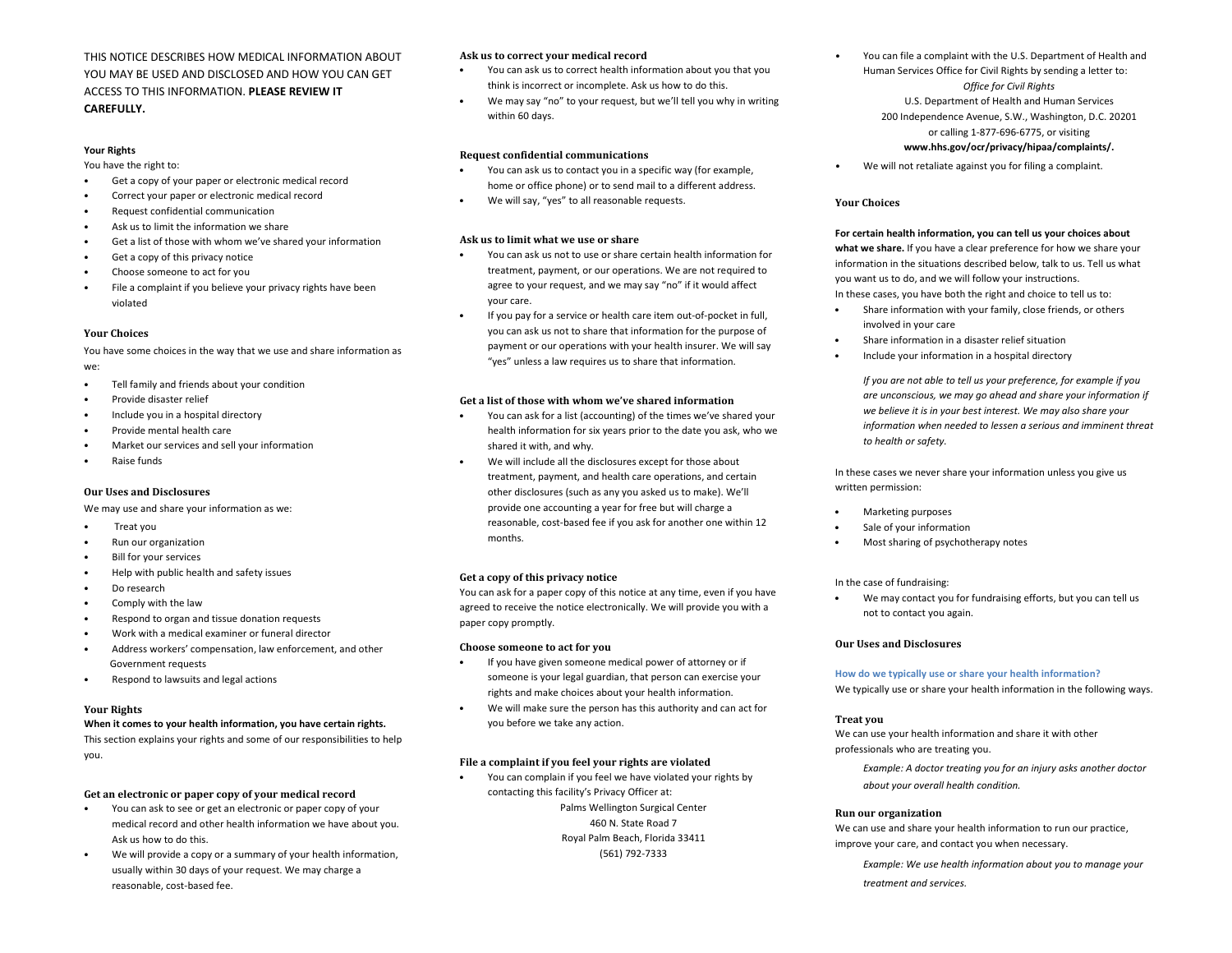THIS NOTICE DESCRIBES HOW MEDICAL INFORMATION ABOUT YOU MAY BE USED AND DISCLOSED AND HOW YOU CAN GET ACCESS TO THIS INFORMATION. **PLEASE REVIEW IT CAREFULLY.**

#### **Your Rights**

You have the right to:

- Get a copy of your paper or electronic medical record
- Correct your paper or electronic medical record
- Request confidential communication
- Ask us to limit the information we share
- Get a list of those with whom we've shared your information
- Get a copy of this privacy notice
- Choose someone to act for you
- File a complaint if you believe your privacy rights have been violated

#### **Your Choices**

You have some choices in the way that we use and share information as we:

- Tell family and friends about your condition
- Provide disaster relief
- Include you in a hospital directory
- Provide mental health care
- Market our services and sell your information
- Raise funds

#### **Our Uses and Disclosures**

We may use and share your information as we:

- Treat you
- Run our organization
- **Bill for your services**
- Help with public health and safety issues
- Do research
- Comply with the law
- Respond to organ and tissue donation requests
- Work with a medical examiner or funeral director
- Address workers' compensation, law enforcement, and other Government requests
- Respond to lawsuits and legal actions

#### **Your Rights**

#### **When it comes to your health information, you have certain rights.**

This section explains your rights and some of our responsibilities to help you.

#### **Get an electronic or paper copy of your medical record**

- You can ask to see or get an electronic or paper copy of your medical record and other health information we have about you. Ask us how to do this.
- We will provide a copy or a summary of your health information, usually within 30 days of your request. We may charge a reasonable, cost-based fee.

#### **Ask us to correct your medical record**

- You can ask us to correct health information about you that you think is incorrect or incomplete. Ask us how to do this.
- We may say "no" to your request, but we'll tell you why in writing within 60 days.

#### **Request confidential communications**

- You can ask us to contact you in a specific way (for example, home or office phone) or to send mail to a different address.
- We will say, "yes" to all reasonable requests.

#### **Ask us to limit what we use or share**

- You can ask us not to use or share certain health information for treatment, payment, or our operations. We are not required to agree to your request, and we may say "no" if it would affect your care.
- If you pay for a service or health care item out-of-pocket in full, you can ask us not to share that information for the purpose of payment or our operations with your health insurer. We will say "yes" unless a law requires us to share that information.

#### **Get a list of those with whom we've shared information**

- You can ask for a list (accounting) of the times we've shared your health information for six years prior to the date you ask, who we shared it with, and why.
- We will include all the disclosures except for those about treatment, payment, and health care operations, and certain other disclosures (such as any you asked us to make). We'll provide one accounting a year for free but will charge a reasonable, cost-based fee if you ask for another one within 12 months.

#### **Get a copy of this privacy notice**

You can ask for a paper copy of this notice at any time, even if you have agreed to receive the notice electronically. We will provide you with a paper copy promptly.

#### **Choose someone to act for you**

- If you have given someone medical power of attorney or if someone is your legal guardian, that person can exercise your rights and make choices about your health information.
- We will make sure the person has this authority and can act for you before we take any action.

#### **File a complaint if you feel your rights are violated**

• You can complain if you feel we have violated your rights by contacting this facility's Privacy Officer at: Palms Wellington Surgical Center

> 460 N. State Road 7 Royal Palm Beach, Florida 33411 (561) 792-7333

- You can file a complaint with the U.S. Department of Health and Human Services Office for Civil Rights by sending a letter to: *Office for Civil Rights* U.S. Department of Health and Human Services 200 Independence Avenue, S.W., Washington, D.C. 20201 or calling 1-877-696-6775, or visiting **www.hhs.gov/ocr/privacy/hipaa/complaints/.**
- We will not retaliate against you for filing a complaint.

#### **Your Choices**

### **For certain health information, you can tell us your choices about**

**what we share.** If you have a clear preference for how we share your information in the situations described below, talk to us. Tell us what you want us to do, and we will follow your instructions. In these cases, you have both the right and choice to tell us to:

- Share information with your family, close friends, or others involved in your care
- Share information in a disaster relief situation
- Include your information in a hospital directory

*If you are not able to tell us your preference, for example if you are unconscious, we may go ahead and share your information if we believe it is in your best interest. We may also share your information when needed to lessen a serious and imminent threat to health or safety.*

In these cases we never share your information unless you give us written permission:

- Marketing purposes
- Sale of your information
- Most sharing of psychotherapy notes

#### In the case of fundraising:

• We may contact you for fundraising efforts, but you can tell us not to contact you again.

#### **Our Uses and Disclosures**

#### **How do we typically use or share your health information?**

We typically use or share your health information in the following ways.

#### **Treat you**

We can use your health information and share it with other professionals who are treating you.

*Example: A doctor treating you for an injury asks another doctor about your overall health condition.*

#### **Run our organization**

We can use and share your health information to run our practice. improve your care, and contact you when necessary.

*Example: We use health information about you to manage your treatment and services.*